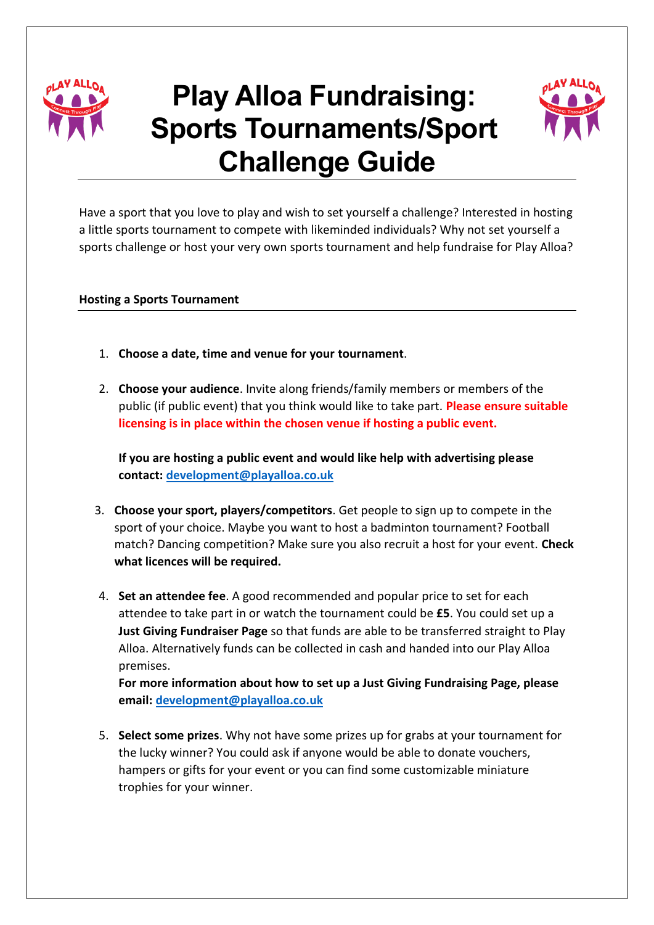

# **Play Alloa Fundraising: Sports Tournaments/Sport Challenge Guide**



Have a sport that you love to play and wish to set yourself a challenge? Interested in hosting a little sports tournament to compete with likeminded individuals? Why not set yourself a sports challenge or host your very own sports tournament and help fundraise for Play Alloa?

## **Hosting a Sports Tournament**

- 1. **Choose a date, time and venue for your tournament**.
- 2. **Choose your audience**. Invite along friends/family members or members of the public (if public event) that you think would like to take part. **Please ensure suitable licensing is in place within the chosen venue if hosting a public event.**

**If you are hosting a public event and would like help with advertising please contact: [development@playalloa.co.uk](mailto:development@playalloa.co.uk)**

- 3. **Choose your sport, players/competitors**. Get people to sign up to compete in the sport of your choice. Maybe you want to host a badminton tournament? Football match? Dancing competition? Make sure you also recruit a host for your event. **Check what licences will be required.**
- 4. **Set an attendee fee**. A good recommended and popular price to set for each attendee to take part in or watch the tournament could be **£5**. You could set up a **Just Giving Fundraiser Page** so that funds are able to be transferred straight to Play Alloa. Alternatively funds can be collected in cash and handed into our Play Alloa premises.

**For more information about how to set up a Just Giving Fundraising Page, please email: [development@playalloa.co.uk](mailto:development@playalloa.co.uk)**

5. **Select some prizes**. Why not have some prizes up for grabs at your tournament for the lucky winner? You could ask if anyone would be able to donate vouchers, hampers or gifts for your event or you can find some customizable miniature trophies for your winner.